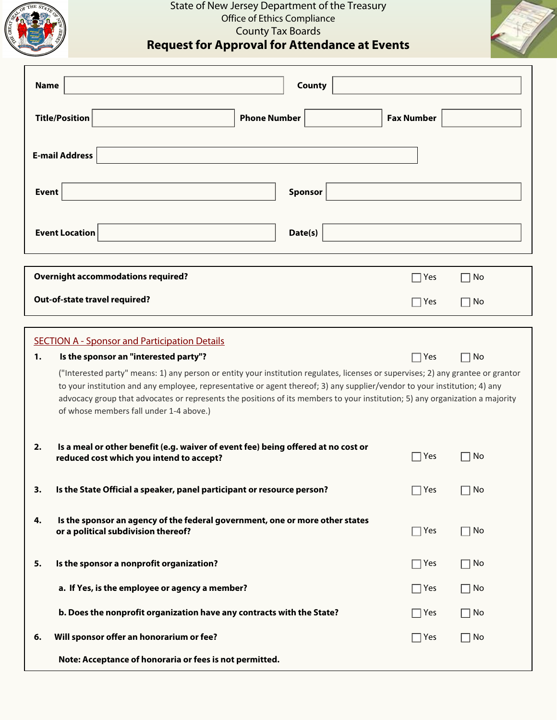

## State of New Jersey Department of the Treasury Office of Ethics Compliance County Tax Boards

**Request for Approval for Attendance at Events**

| <b>Name</b>                                                                                                                                                                                                                                                                                                                                                                                                                                                                                                                                                         | County                                                                                                                                         |                   |                      |  |  |  |  |  |
|---------------------------------------------------------------------------------------------------------------------------------------------------------------------------------------------------------------------------------------------------------------------------------------------------------------------------------------------------------------------------------------------------------------------------------------------------------------------------------------------------------------------------------------------------------------------|------------------------------------------------------------------------------------------------------------------------------------------------|-------------------|----------------------|--|--|--|--|--|
|                                                                                                                                                                                                                                                                                                                                                                                                                                                                                                                                                                     | <b>Title/Position</b><br><b>Phone Number</b>                                                                                                   | <b>Fax Number</b> |                      |  |  |  |  |  |
|                                                                                                                                                                                                                                                                                                                                                                                                                                                                                                                                                                     | <b>E-mail Address</b>                                                                                                                          |                   |                      |  |  |  |  |  |
| <b>Event</b>                                                                                                                                                                                                                                                                                                                                                                                                                                                                                                                                                        | Sponsor                                                                                                                                        |                   |                      |  |  |  |  |  |
|                                                                                                                                                                                                                                                                                                                                                                                                                                                                                                                                                                     | <b>Event Location</b><br>Date(s)                                                                                                               |                   |                      |  |  |  |  |  |
|                                                                                                                                                                                                                                                                                                                                                                                                                                                                                                                                                                     | <b>Overnight accommodations required?</b>                                                                                                      | Yes               | No                   |  |  |  |  |  |
| Out-of-state travel required?                                                                                                                                                                                                                                                                                                                                                                                                                                                                                                                                       |                                                                                                                                                |                   | No                   |  |  |  |  |  |
| <b>SECTION A - Sponsor and Participation Details</b><br>Is the sponsor an "interested party"?<br>$\Box$ Yes<br>No<br>1.<br>("Interested party" means: 1) any person or entity your institution regulates, licenses or supervises; 2) any grantee or grantor<br>to your institution and any employee, representative or agent thereof; 3) any supplier/vendor to your institution; 4) any<br>advocacy group that advocates or represents the positions of its members to your institution; 5) any organization a majority<br>of whose members fall under 1-4 above.) |                                                                                                                                                |                   |                      |  |  |  |  |  |
| 2.                                                                                                                                                                                                                                                                                                                                                                                                                                                                                                                                                                  | Is a meal or other benefit (e.g. waiver of event fee) being offered at no cost or<br>reduced cost which you intend to accept?                  | Yes               | No                   |  |  |  |  |  |
| 3.                                                                                                                                                                                                                                                                                                                                                                                                                                                                                                                                                                  | Is the State Official a speaker, panel participant or resource person?                                                                         | Yes               | No                   |  |  |  |  |  |
| 4.                                                                                                                                                                                                                                                                                                                                                                                                                                                                                                                                                                  | Is the sponsor an agency of the federal government, one or more other states<br>$\Box$ Yes<br>$\Box$ No<br>or a political subdivision thereof? |                   |                      |  |  |  |  |  |
| 5.                                                                                                                                                                                                                                                                                                                                                                                                                                                                                                                                                                  | Is the sponsor a nonprofit organization?                                                                                                       | $\Box$ Yes        | No<br>$\blacksquare$ |  |  |  |  |  |
|                                                                                                                                                                                                                                                                                                                                                                                                                                                                                                                                                                     | a. If Yes, is the employee or agency a member?                                                                                                 | $\Box$ Yes        | No                   |  |  |  |  |  |
|                                                                                                                                                                                                                                                                                                                                                                                                                                                                                                                                                                     | b. Does the nonprofit organization have any contracts with the State?                                                                          | $\Box$ Yes        | $\Box$ No            |  |  |  |  |  |
| 6.                                                                                                                                                                                                                                                                                                                                                                                                                                                                                                                                                                  | Will sponsor offer an honorarium or fee?                                                                                                       | $\Box$ Yes        | $\Box$ No            |  |  |  |  |  |
|                                                                                                                                                                                                                                                                                                                                                                                                                                                                                                                                                                     | Note: Acceptance of honoraria or fees is not permitted.                                                                                        |                   |                      |  |  |  |  |  |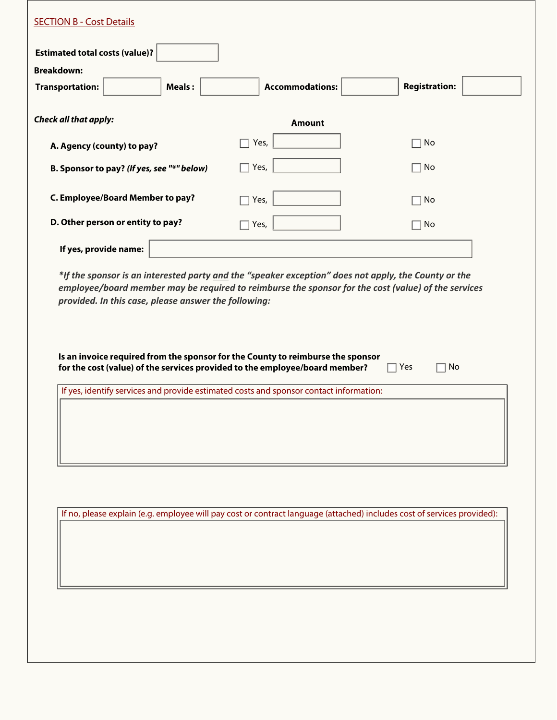| <b>Transportation:</b>       | <b>Meals:</b>                                        | <b>Accommodations:</b>                                                                                                                                                                                      | <b>Registration:</b> |
|------------------------------|------------------------------------------------------|-------------------------------------------------------------------------------------------------------------------------------------------------------------------------------------------------------------|----------------------|
| <b>Check all that apply:</b> |                                                      | <b>Amount</b>                                                                                                                                                                                               |                      |
|                              | A. Agency (county) to pay?                           | Yes,                                                                                                                                                                                                        | No                   |
|                              | B. Sponsor to pay? (If yes, see "*" below)           | $\Box$ Yes,                                                                                                                                                                                                 | No                   |
|                              | <b>C. Employee/Board Member to pay?</b>              | $\Box$ Yes,                                                                                                                                                                                                 | No                   |
|                              | D. Other person or entity to pay?                    | $\Box$ Yes,                                                                                                                                                                                                 | No                   |
|                              |                                                      |                                                                                                                                                                                                             |                      |
| If yes, provide name:        | provided. In this case, please answer the following: | *If the sponsor is an interested party and the "speaker exception" does not apply, the County or the<br>employee/board member may be required to reimburse the sponsor for the cost (value) of the services |                      |
|                              |                                                      | Is an invoice required from the sponsor for the County to reimburse the sponsor<br>for the cost (value) of the services provided to the employee/board member?                                              | No<br>Yes            |
|                              |                                                      | If yes, identify services and provide estimated costs and sponsor contact information:                                                                                                                      |                      |
|                              |                                                      |                                                                                                                                                                                                             |                      |